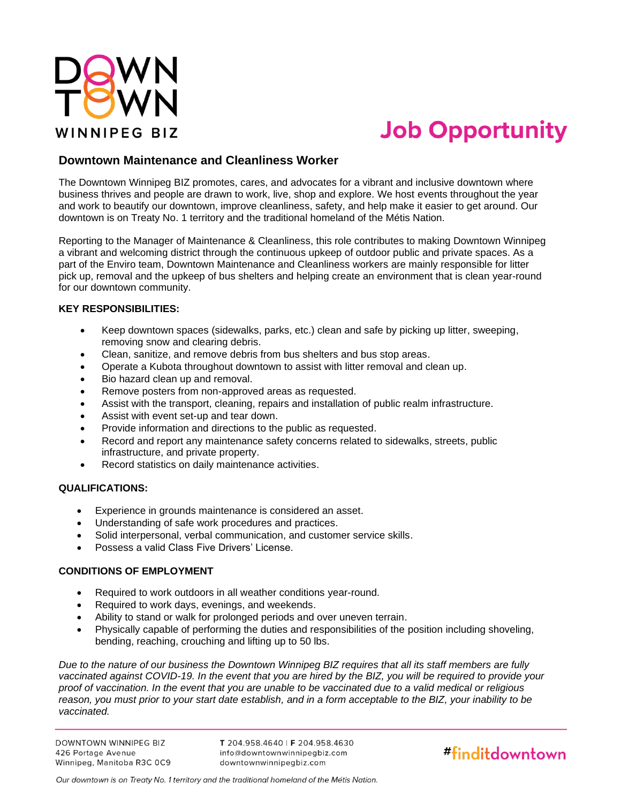

# **Job Opportunity**

### **Downtown Maintenance and Cleanliness Worker**

The Downtown Winnipeg BIZ promotes, cares, and advocates for a vibrant and inclusive downtown where business thrives and people are drawn to work, live, shop and explore. We host events throughout the year and work to beautify our downtown, improve cleanliness, safety, and help make it easier to get around. Our downtown is on Treaty No. 1 territory and the traditional homeland of the Métis Nation.

Reporting to the Manager of Maintenance & Cleanliness, this role contributes to making Downtown Winnipeg a vibrant and welcoming district through the continuous upkeep of outdoor public and private spaces. As a part of the Enviro team, Downtown Maintenance and Cleanliness workers are mainly responsible for litter pick up, removal and the upkeep of bus shelters and helping create an environment that is clean year-round for our downtown community.

#### **KEY RESPONSIBILITIES:**

- Keep downtown spaces (sidewalks, parks, etc.) clean and safe by picking up litter, sweeping, removing snow and clearing debris.
- Clean, sanitize, and remove debris from bus shelters and bus stop areas.
- Operate a Kubota throughout downtown to assist with litter removal and clean up.
- Bio hazard clean up and removal.
- Remove posters from non-approved areas as requested.
- Assist with the transport, cleaning, repairs and installation of public realm infrastructure.
- Assist with event set-up and tear down.
- Provide information and directions to the public as requested.
- Record and report any maintenance safety concerns related to sidewalks, streets, public infrastructure, and private property.
- Record statistics on daily maintenance activities.

#### **QUALIFICATIONS:**

- Experience in grounds maintenance is considered an asset.
- Understanding of safe work procedures and practices.
- Solid interpersonal, verbal communication, and customer service skills.
- Possess a valid Class Five Drivers' License.

#### **CONDITIONS OF EMPLOYMENT**

- Required to work outdoors in all weather conditions year-round.
- Required to work days, evenings, and weekends.
- Ability to stand or walk for prolonged periods and over uneven terrain.
- Physically capable of performing the duties and responsibilities of the position including shoveling, bending, reaching, crouching and lifting up to 50 lbs.

*Due to the nature of our business the Downtown Winnipeg BIZ requires that all its staff members are fully vaccinated against COVID-19. In the event that you are hired by the BIZ, you will be required to provide your proof of vaccination. In the event that you are unable to be vaccinated due to a valid medical or religious reason, you must prior to your start date establish, and in a form acceptable to the BIZ, your inability to be vaccinated.*

**DOWNTOWN WINNIPEG BIZ** 426 Portage Avenue Winnipeg, Manitoba R3C 0C9

T 204.958.4640 | F 204.958.4630 info@downtownwinnipegbiz.com downtownwinnipegbiz.com



Our downtown is on Treaty No. 1 territory and the traditional homeland of the Métis Nation.